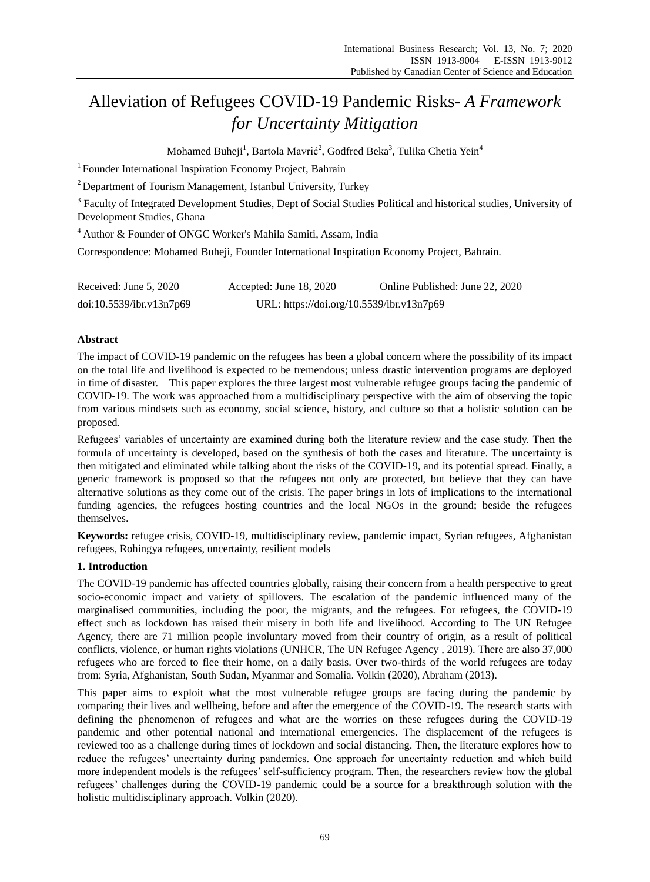# Alleviation of Refugees COVID-19 Pandemic Risks- *A Framework for Uncertainty Mitigation*

Mohamed Buheji $^1$ , Bartola Mavrić $^2$ , Godfred Beka $^3$ , Tulika Chetia Yein $^4$ 

<sup>1</sup> Founder International Inspiration Economy Project, Bahrain

<sup>2</sup> Department of Tourism Management, Istanbul University, Turkey

<sup>3</sup> Faculty of Integrated Development Studies, Dept of Social Studies Political and historical studies, University of Development Studies, Ghana

<sup>4</sup> Author & Founder of ONGC Worker's Mahila Samiti, Assam, India

Correspondence: Mohamed Buheji, Founder International Inspiration Economy Project, Bahrain.

| Received: June 5, 2020   | Accepted: June 18, 2020                   | Online Published: June 22, 2020 |
|--------------------------|-------------------------------------------|---------------------------------|
| doi:10.5539/ibr.v13n7p69 | URL: https://doi.org/10.5539/ibr.v13n7p69 |                                 |

## **Abstract**

The impact of COVID-19 pandemic on the refugees has been a global concern where the possibility of its impact on the total life and livelihood is expected to be tremendous; unless drastic intervention programs are deployed in time of disaster. This paper explores the three largest most vulnerable refugee groups facing the pandemic of COVID-19. The work was approached from a multidisciplinary perspective with the aim of observing the topic from various mindsets such as economy, social science, history, and culture so that a holistic solution can be proposed.

Refugees" variables of uncertainty are examined during both the literature review and the case study. Then the formula of uncertainty is developed, based on the synthesis of both the cases and literature. The uncertainty is then mitigated and eliminated while talking about the risks of the COVID-19, and its potential spread. Finally, a generic framework is proposed so that the refugees not only are protected, but believe that they can have alternative solutions as they come out of the crisis. The paper brings in lots of implications to the international funding agencies, the refugees hosting countries and the local NGOs in the ground; beside the refugees themselves.

**Keywords:** refugee crisis, COVID-19, multidisciplinary review, pandemic impact, Syrian refugees, Afghanistan refugees, Rohingya refugees, uncertainty, resilient models

## **1. Introduction**

The COVID-19 pandemic has affected countries globally, raising their concern from a health perspective to great socio-economic impact and variety of spillovers. The escalation of the pandemic influenced many of the marginalised communities, including the poor, the migrants, and the refugees. For refugees, the COVID-19 effect such as lockdown has raised their misery in both life and livelihood. According to The UN Refugee Agency, there are 71 million people involuntary moved from their country of origin, as a result of political conflicts, violence, or human rights violations (UNHCR, The UN Refugee Agency , 2019). There are also 37,000 refugees who are forced to flee their home, on a daily basis. Over two-thirds of the world refugees are today from: Syria, Afghanistan, South Sudan, Myanmar and Somalia. Volkin (2020), Abraham (2013).

This paper aims to exploit what the most vulnerable refugee groups are facing during the pandemic by comparing their lives and wellbeing, before and after the emergence of the COVID-19. The research starts with defining the phenomenon of refugees and what are the worries on these refugees during the COVID-19 pandemic and other potential national and international emergencies. The displacement of the refugees is reviewed too as a challenge during times of lockdown and social distancing. Then, the literature explores how to reduce the refugees" uncertainty during pandemics. One approach for uncertainty reduction and which build more independent models is the refugees" self-sufficiency program. Then, the researchers review how the global refugees" challenges during the COVID-19 pandemic could be a source for a breakthrough solution with the holistic multidisciplinary approach. Volkin (2020).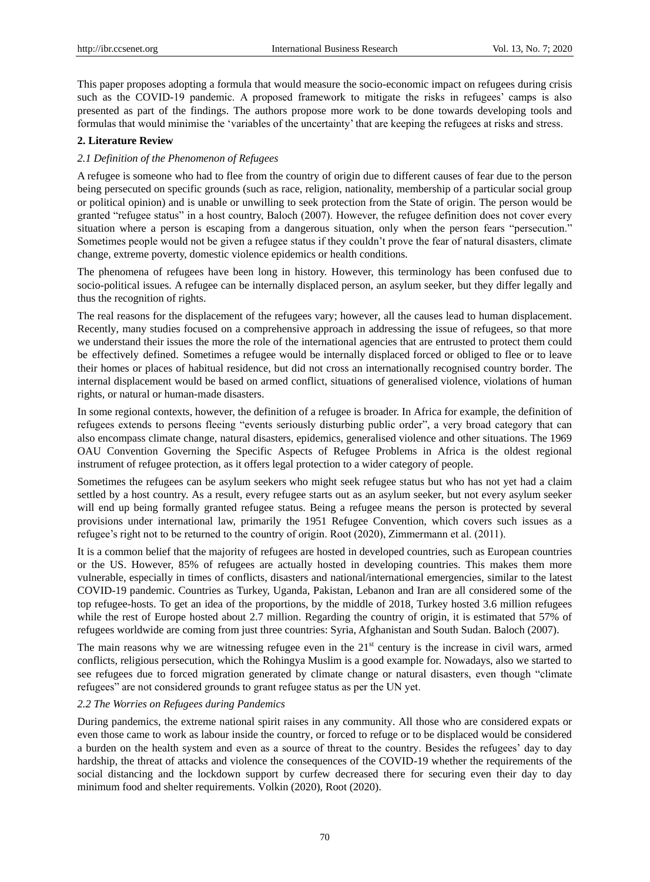This paper proposes adopting a formula that would measure the socio-economic impact on refugees during crisis such as the COVID-19 pandemic. A proposed framework to mitigate the risks in refugees' camps is also presented as part of the findings. The authors propose more work to be done towards developing tools and formulas that would minimise the "variables of the uncertainty" that are keeping the refugees at risks and stress.

## **2. Literature Review**

## *2.1 Definition of the Phenomenon of Refugees*

A refugee is someone who had to flee from the country of origin due to different causes of fear due to the person being persecuted on specific grounds (such as race, religion, nationality, membership of a particular social group or political opinion) and is unable or unwilling to seek protection from the State of origin. The person would be granted "refugee status" in a host country, Baloch (2007). However, the refugee definition does not cover every situation where a person is escaping from a dangerous situation, only when the person fears "persecution." Sometimes people would not be given a refugee status if they couldn"t prove the fear of natural disasters, climate change, extreme poverty, domestic violence epidemics or health conditions.

The phenomena of refugees have been long in history. However, this terminology has been confused due to socio-political issues. A refugee can be internally displaced person, an asylum seeker, but they differ legally and thus the recognition of rights.

The real reasons for the displacement of the refugees vary; however, all the causes lead to human displacement. Recently, many studies focused on a comprehensive approach in addressing the issue of refugees, so that more we understand their issues the more the role of the international agencies that are entrusted to protect them could be effectively defined. Sometimes a refugee would be internally displaced forced or obliged to flee or to leave their homes or places of habitual residence, but did not cross an internationally recognised country border. The internal displacement would be based on armed conflict, situations of generalised violence, violations of human rights, or natural or human-made disasters.

In some regional contexts, however, the definition of a refugee is broader. In Africa for example, the definition of refugees extends to persons fleeing "events seriously disturbing public order", a very broad category that can also encompass climate change, natural disasters, epidemics, generalised violence and other situations. The 1969 OAU Convention Governing the Specific Aspects of Refugee Problems in Africa is the oldest regional instrument of refugee protection, as it offers legal protection to a wider category of people.

Sometimes the refugees can be asylum seekers who might seek refugee status but who has not yet had a claim settled by a host country. As a result, every refugee starts out as an asylum seeker, but not every asylum seeker will end up being formally granted refugee status. Being a refugee means the person is protected by several provisions under international law, primarily the 1951 Refugee Convention, which covers such issues as a refugee's right not to be returned to the country of origin. Root (2020), Zimmermann et al. (2011).

It is a common belief that the majority of refugees are hosted in developed countries, such as European countries or the US. However, 85% of refugees are actually hosted in developing countries. This makes them more vulnerable, especially in times of conflicts, disasters and national/international emergencies, similar to the latest COVID-19 pandemic. Countries as Turkey, Uganda, Pakistan, Lebanon and Iran are all considered some of the top refugee-hosts. To get an idea of the proportions, by the middle of 2018, Turkey hosted 3.6 million refugees while the rest of Europe hosted about 2.7 million. Regarding the country of origin, it is estimated that 57% of refugees worldwide are coming from just three countries: Syria, Afghanistan and South Sudan. Baloch (2007).

The main reasons why we are witnessing refugee even in the  $21<sup>st</sup>$  century is the increase in civil wars, armed conflicts, religious persecution, which the Rohingya Muslim is a good example for. Nowadays, also we started to see refugees due to forced migration generated by climate change or natural disasters, even though "climate refugees" are not considered grounds to grant refugee status as per the UN yet.

#### *2.2 The Worries on Refugees during Pandemics*

During pandemics, the extreme national spirit raises in any community. All those who are considered expats or even those came to work as labour inside the country, or forced to refuge or to be displaced would be considered a burden on the health system and even as a source of threat to the country. Besides the refugees" day to day hardship, the threat of attacks and violence the consequences of the COVID-19 whether the requirements of the social distancing and the lockdown support by curfew decreased there for securing even their day to day minimum food and shelter requirements. Volkin (2020), Root (2020).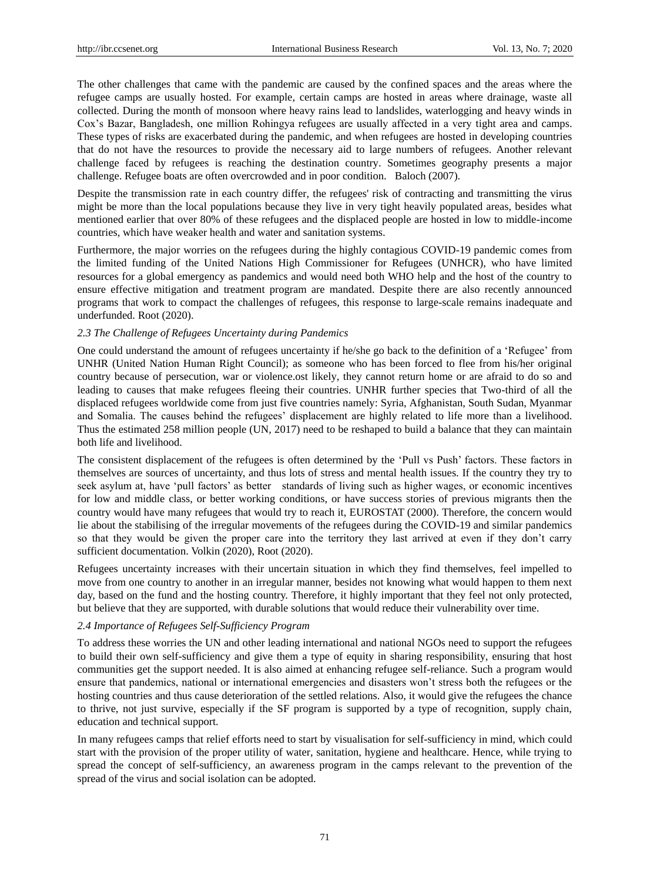The other challenges that came with the pandemic are caused by the confined spaces and the areas where the refugee camps are usually hosted. For example, certain camps are hosted in areas where drainage, waste all collected. During the month of monsoon where heavy rains lead to landslides, waterlogging and heavy winds in Cox"s Bazar, Bangladesh, one million Rohingya refugees are usually affected in a very tight area and camps. These types of risks are exacerbated during the pandemic, and when refugees are hosted in developing countries that do not have the resources to provide the necessary aid to large numbers of refugees. Another relevant challenge faced by refugees is reaching the destination country. Sometimes geography presents a major challenge. Refugee boats are often overcrowded and in poor condition. Baloch (2007).

Despite the transmission rate in each country differ, the refugees' risk of contracting and transmitting the virus might be more than the local populations because they live in very tight heavily populated areas, besides what mentioned earlier that over 80% of these refugees and the displaced people are hosted in low to middle-income countries, which have weaker health and water and sanitation systems.

Furthermore, the major worries on the refugees during the highly contagious COVID-19 pandemic comes from the limited funding of the United Nations High Commissioner for Refugees (UNHCR), who have limited resources for a global emergency as pandemics and would need both WHO help and the host of the country to ensure effective mitigation and treatment program are mandated. Despite there are also recently announced programs that work to compact the challenges of refugees, this response to large-scale remains inadequate and underfunded. Root (2020).

## *2.3 The Challenge of Refugees Uncertainty during Pandemics*

One could understand the amount of refugees uncertainty if he/she go back to the definition of a "Refugee" from UNHR (United Nation Human Right Council); as someone who has been forced to flee from his/her original country because of persecution, war or violence.ost likely, they cannot return home or are afraid to do so and leading to causes that make refugees fleeing their countries. UNHR further species that Two-third of all the displaced refugees worldwide come from just five countries namely: Syria, Afghanistan, South Sudan, Myanmar and Somalia. The causes behind the refugees" displacement are highly related to life more than a livelihood. Thus the estimated 258 million people (UN, 2017) need to be reshaped to build a balance that they can maintain both life and livelihood.

The consistent displacement of the refugees is often determined by the "Pull vs Push" factors. These factors in themselves are sources of uncertainty, and thus lots of stress and mental health issues. If the country they try to seek asylum at, have "pull factors" as better standards of living such as higher wages, or economic incentives for low and middle class, or better working conditions, or have success stories of previous migrants then the country would have many refugees that would try to reach it, EUROSTAT (2000). Therefore, the concern would lie about the stabilising of the irregular movements of the refugees during the COVID-19 and similar pandemics so that they would be given the proper care into the territory they last arrived at even if they don"t carry sufficient documentation. Volkin (2020), Root (2020).

Refugees uncertainty increases with their uncertain situation in which they find themselves, feel impelled to move from one country to another in an irregular manner, besides not knowing what would happen to them next day, based on the fund and the hosting country. Therefore, it highly important that they feel not only protected, but believe that they are supported, with durable solutions that would reduce their vulnerability over time.

## *2.4 Importance of Refugees Self-Sufficiency Program*

To address these worries the UN and other leading international and national NGOs need to support the refugees to build their own self-sufficiency and give them a type of equity in sharing responsibility, ensuring that host communities get the support needed. It is also aimed at enhancing refugee self-reliance. Such a program would ensure that pandemics, national or international emergencies and disasters won"t stress both the refugees or the hosting countries and thus cause deterioration of the settled relations. Also, it would give the refugees the chance to thrive, not just survive, especially if the SF program is supported by a type of recognition, supply chain, education and technical support.

In many refugees camps that relief efforts need to start by visualisation for self-sufficiency in mind, which could start with the provision of the proper utility of water, sanitation, hygiene and healthcare. Hence, while trying to spread the concept of self-sufficiency, an awareness program in the camps relevant to the prevention of the spread of the virus and social isolation can be adopted.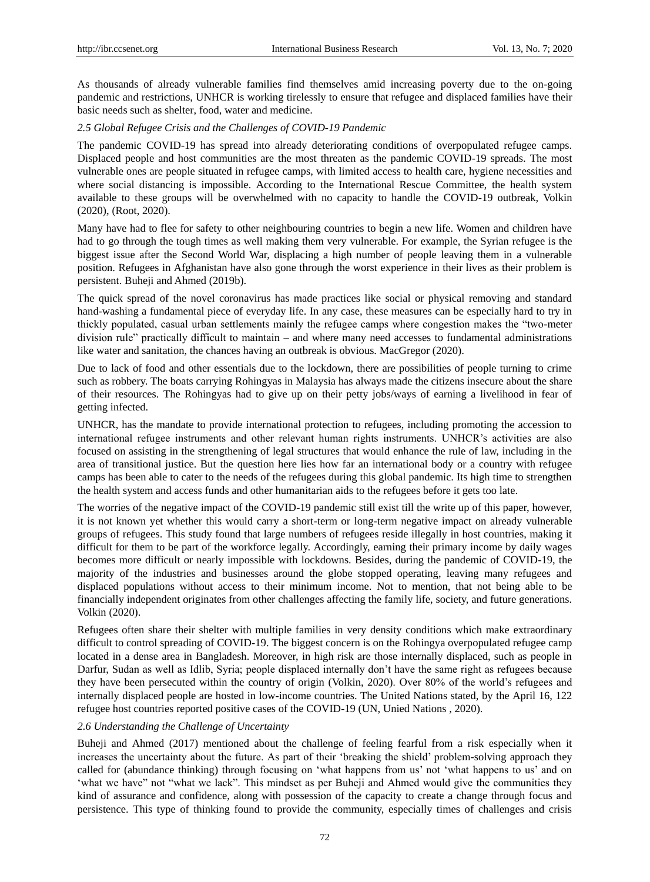As thousands of already vulnerable families find themselves amid increasing poverty due to the on-going pandemic and restrictions, UNHCR is working tirelessly to ensure that refugee and displaced families have their basic needs such as shelter, food, water and medicine.

## *2.5 Global Refugee Crisis and the Challenges of COVID-19 Pandemic*

The pandemic COVID-19 has spread into already deteriorating conditions of overpopulated refugee camps. Displaced people and host communities are the most threaten as the pandemic COVID-19 spreads. The most vulnerable ones are people situated in refugee camps, with limited access to health care, hygiene necessities and where social distancing is impossible. According to the International Rescue Committee, the health system available to these groups will be overwhelmed with no capacity to handle the COVID-19 outbreak, Volkin (2020), (Root, 2020).

Many have had to flee for safety to other neighbouring countries to begin a new life. Women and children have had to go through the tough times as well making them very vulnerable. For example, the Syrian refugee is the biggest issue after the Second World War, displacing a high number of people leaving them in a vulnerable position. Refugees in Afghanistan have also gone through the worst experience in their lives as their problem is persistent. Buheji and Ahmed (2019b).

The quick spread of the novel coronavirus has made practices like social or physical removing and standard hand-washing a fundamental piece of everyday life. In any case, these measures can be especially hard to try in thickly populated, casual urban settlements mainly the refugee camps where congestion makes the "two-meter division rule" practically difficult to maintain – and where many need accesses to fundamental administrations like water and sanitation, the chances having an outbreak is obvious. MacGregor (2020).

Due to lack of food and other essentials due to the lockdown, there are possibilities of people turning to crime such as robbery. The boats carrying Rohingyas in Malaysia has always made the citizens insecure about the share of their resources. The Rohingyas had to give up on their petty jobs/ways of earning a livelihood in fear of getting infected.

UNHCR, has the mandate to provide international protection to refugees, including promoting the accession to international refugee instruments and other relevant human rights instruments. UNHCR"s activities are also focused on assisting in the strengthening of legal structures that would enhance the rule of law, including in the area of transitional justice. But the question here lies how far an international body or a country with refugee camps has been able to cater to the needs of the refugees during this global pandemic. Its high time to strengthen the health system and access funds and other humanitarian aids to the refugees before it gets too late.

The worries of the negative impact of the COVID-19 pandemic still exist till the write up of this paper, however, it is not known yet whether this would carry a short-term or long-term negative impact on already vulnerable groups of refugees. This study found that large numbers of refugees reside illegally in host countries, making it difficult for them to be part of the workforce legally. Accordingly, earning their primary income by daily wages becomes more difficult or nearly impossible with lockdowns. Besides, during the pandemic of COVID-19, the majority of the industries and businesses around the globe stopped operating, leaving many refugees and displaced populations without access to their minimum income. Not to mention, that not being able to be financially independent originates from other challenges affecting the family life, society, and future generations. Volkin (2020).

Refugees often share their shelter with multiple families in very density conditions which make extraordinary difficult to control spreading of COVID-19. The biggest concern is on the Rohingya overpopulated refugee camp located in a dense area in Bangladesh. Moreover, in high risk are those internally displaced, such as people in Darfur, Sudan as well as Idlib, Syria; people displaced internally don't have the same right as refugees because they have been persecuted within the country of origin (Volkin, 2020). Over 80% of the world"s refugees and internally displaced people are hosted in low-income countries. The United Nations stated, by the April 16, 122 refugee host countries reported positive cases of the COVID-19 (UN, Unied Nations , 2020).

## *2.6 Understanding the Challenge of Uncertainty*

Buheji and Ahmed (2017) mentioned about the challenge of feeling fearful from a risk especially when it increases the uncertainty about the future. As part of their "breaking the shield" problem-solving approach they called for (abundance thinking) through focusing on "what happens from us" not "what happens to us" and on "what we have" not "what we lack". This mindset as per Buheji and Ahmed would give the communities they kind of assurance and confidence, along with possession of the capacity to create a change through focus and persistence. This type of thinking found to provide the community, especially times of challenges and crisis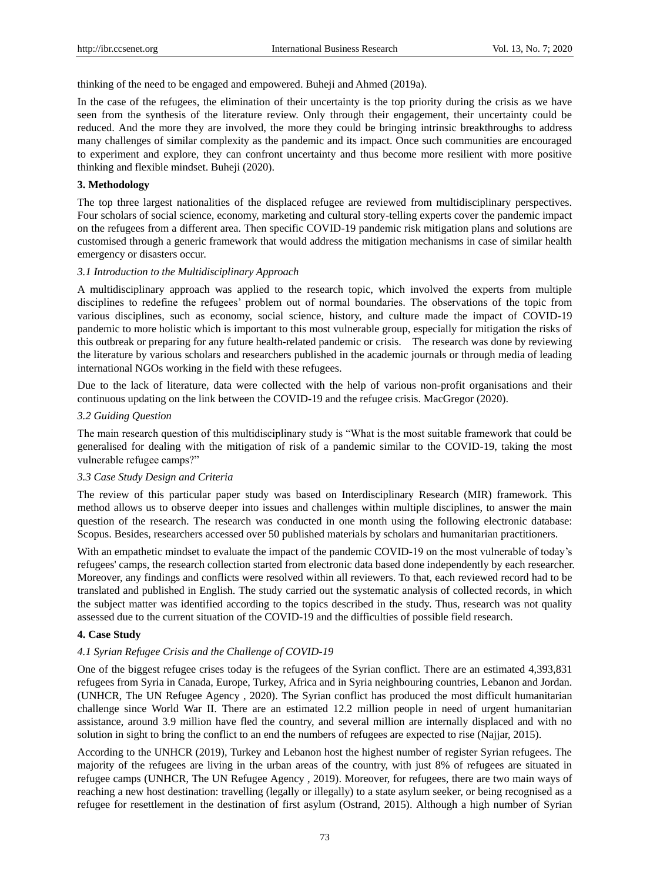thinking of the need to be engaged and empowered. Buheji and Ahmed (2019a).

In the case of the refugees, the elimination of their uncertainty is the top priority during the crisis as we have seen from the synthesis of the literature review. Only through their engagement, their uncertainty could be reduced. And the more they are involved, the more they could be bringing intrinsic breakthroughs to address many challenges of similar complexity as the pandemic and its impact. Once such communities are encouraged to experiment and explore, they can confront uncertainty and thus become more resilient with more positive thinking and flexible mindset. Buheji (2020).

#### **3. Methodology**

The top three largest nationalities of the displaced refugee are reviewed from multidisciplinary perspectives. Four scholars of social science, economy, marketing and cultural story-telling experts cover the pandemic impact on the refugees from a different area. Then specific COVID-19 pandemic risk mitigation plans and solutions are customised through a generic framework that would address the mitigation mechanisms in case of similar health emergency or disasters occur.

#### *3.1 Introduction to the Multidisciplinary Approach*

A multidisciplinary approach was applied to the research topic, which involved the experts from multiple disciplines to redefine the refugees" problem out of normal boundaries. The observations of the topic from various disciplines, such as economy, social science, history, and culture made the impact of COVID-19 pandemic to more holistic which is important to this most vulnerable group, especially for mitigation the risks of this outbreak or preparing for any future health-related pandemic or crisis. The research was done by reviewing the literature by various scholars and researchers published in the academic journals or through media of leading international NGOs working in the field with these refugees.

Due to the lack of literature, data were collected with the help of various non-profit organisations and their continuous updating on the link between the COVID-19 and the refugee crisis. MacGregor (2020).

#### *3.2 Guiding Question*

The main research question of this multidisciplinary study is "What is the most suitable framework that could be generalised for dealing with the mitigation of risk of a pandemic similar to the COVID-19, taking the most vulnerable refugee camps?"

## *3.3 Case Study Design and Criteria*

The review of this particular paper study was based on Interdisciplinary Research (MIR) framework. This method allows us to observe deeper into issues and challenges within multiple disciplines, to answer the main question of the research. The research was conducted in one month using the following electronic database: Scopus. Besides, researchers accessed over 50 published materials by scholars and humanitarian practitioners.

With an empathetic mindset to evaluate the impact of the pandemic COVID-19 on the most vulnerable of today's refugees' camps, the research collection started from electronic data based done independently by each researcher. Moreover, any findings and conflicts were resolved within all reviewers. To that, each reviewed record had to be translated and published in English. The study carried out the systematic analysis of collected records, in which the subject matter was identified according to the topics described in the study. Thus, research was not quality assessed due to the current situation of the COVID-19 and the difficulties of possible field research.

## **4. Case Study**

## *4.1 Syrian Refugee Crisis and the Challenge of COVID-19*

One of the biggest refugee crises today is the refugees of the Syrian conflict. There are an estimated 4,393,831 refugees from Syria in Canada, Europe, Turkey, Africa and in Syria neighbouring countries, Lebanon and Jordan. (UNHCR, The UN Refugee Agency , 2020). The Syrian conflict has produced the most difficult humanitarian challenge since World War II. There are an estimated 12.2 million people in need of urgent humanitarian assistance, around 3.9 million have fled the country, and several million are internally displaced and with no solution in sight to bring the conflict to an end the numbers of refugees are expected to rise (Najjar, 2015).

According to the UNHCR (2019), Turkey and Lebanon host the highest number of register Syrian refugees. The majority of the refugees are living in the urban areas of the country, with just 8% of refugees are situated in refugee camps (UNHCR, The UN Refugee Agency , 2019). Moreover, for refugees, there are two main ways of reaching a new host destination: travelling (legally or illegally) to a state asylum seeker, or being recognised as a refugee for resettlement in the destination of first asylum (Ostrand, 2015). Although a high number of Syrian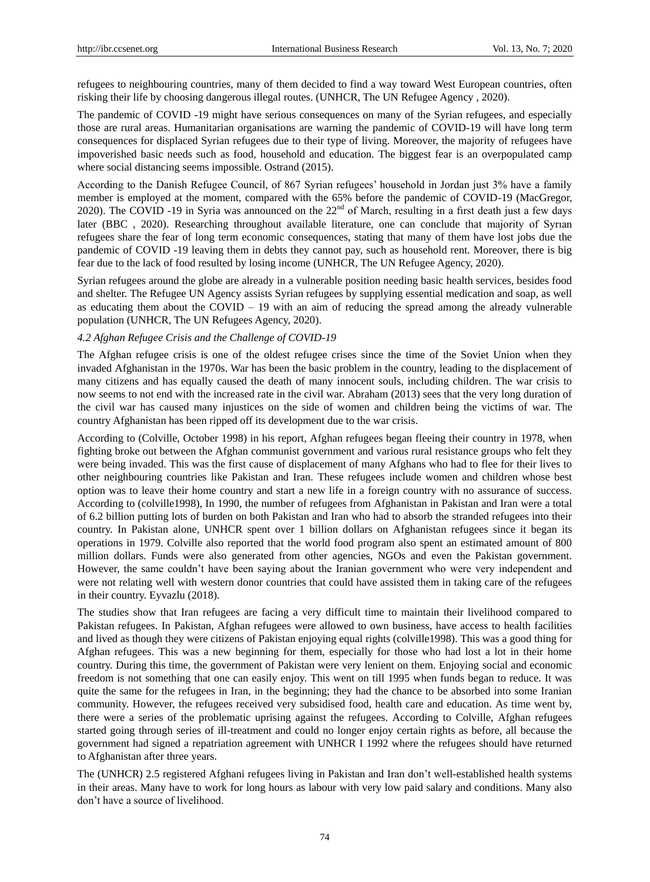refugees to neighbouring countries, many of them decided to find a way toward West European countries, often risking their life by choosing dangerous illegal routes. (UNHCR, The UN Refugee Agency , 2020).

The pandemic of COVID -19 might have serious consequences on many of the Syrian refugees, and especially those are rural areas. Humanitarian organisations are warning the pandemic of COVID-19 will have long term consequences for displaced Syrian refugees due to their type of living. Moreover, the majority of refugees have impoverished basic needs such as food, household and education. The biggest fear is an overpopulated camp where social distancing seems impossible. Ostrand (2015).

According to the Danish Refugee Council, of 867 Syrian refugees" household in Jordan just 3% have a family member is employed at the moment, compared with the 65% before the pandemic of COVID-19 (MacGregor, 2020). The COVID -19 in Syria was announced on the 22<sup>nd</sup> of March, resulting in a first death just a few days later (BBC, 2020). Researching throughout available literature, one can conclude that majority of Syrian refugees share the fear of long term economic consequences, stating that many of them have lost jobs due the pandemic of COVID -19 leaving them in debts they cannot pay, such as household rent. Moreover, there is big fear due to the lack of food resulted by losing income (UNHCR, The UN Refugee Agency, 2020).

Syrian refugees around the globe are already in a vulnerable position needing basic health services, besides food and shelter. The Refugee UN Agency assists Syrian refugees by supplying essential medication and soap, as well as educating them about the COVID – 19 with an aim of reducing the spread among the already vulnerable population (UNHCR, The UN Refugees Agency, 2020).

#### *4.2 Afghan Refugee Crisis and the Challenge of COVID-19*

The Afghan refugee crisis is one of the oldest refugee crises since the time of the Soviet Union when they invaded Afghanistan in the 1970s. War has been the basic problem in the country, leading to the displacement of many citizens and has equally caused the death of many innocent souls, including children. The war crisis to now seems to not end with the increased rate in the civil war. Abraham (2013) sees that the very long duration of the civil war has caused many injustices on the side of women and children being the victims of war. The country Afghanistan has been ripped off its development due to the war crisis.

According to (Colville, October 1998) in his report, Afghan refugees began fleeing their country in 1978, when fighting broke out between the Afghan communist government and various rural resistance groups who felt they were being invaded. This was the first cause of displacement of many Afghans who had to flee for their lives to other neighbouring countries like Pakistan and Iran. These refugees include women and children whose best option was to leave their home country and start a new life in a foreign country with no assurance of success. According to (colville1998), In 1990, the number of refugees from Afghanistan in Pakistan and Iran were a total of 6.2 billion putting lots of burden on both Pakistan and Iran who had to absorb the stranded refugees into their country. In Pakistan alone, UNHCR spent over 1 billion dollars on Afghanistan refugees since it began its operations in 1979. Colville also reported that the world food program also spent an estimated amount of 800 million dollars. Funds were also generated from other agencies, NGOs and even the Pakistan government. However, the same couldn"t have been saying about the Iranian government who were very independent and were not relating well with western donor countries that could have assisted them in taking care of the refugees in their country. Eyvazlu (2018).

The studies show that Iran refugees are facing a very difficult time to maintain their livelihood compared to Pakistan refugees. In Pakistan, Afghan refugees were allowed to own business, have access to health facilities and lived as though they were citizens of Pakistan enjoying equal rights (colville1998). This was a good thing for Afghan refugees. This was a new beginning for them, especially for those who had lost a lot in their home country. During this time, the government of Pakistan were very lenient on them. Enjoying social and economic freedom is not something that one can easily enjoy. This went on till 1995 when funds began to reduce. It was quite the same for the refugees in Iran, in the beginning; they had the chance to be absorbed into some Iranian community. However, the refugees received very subsidised food, health care and education. As time went by, there were a series of the problematic uprising against the refugees. According to Colville, Afghan refugees started going through series of ill-treatment and could no longer enjoy certain rights as before, all because the government had signed a repatriation agreement with UNHCR I 1992 where the refugees should have returned to Afghanistan after three years.

The (UNHCR) 2.5 registered Afghani refugees living in Pakistan and Iran don"t well-established health systems in their areas. Many have to work for long hours as labour with very low paid salary and conditions. Many also don"t have a source of livelihood.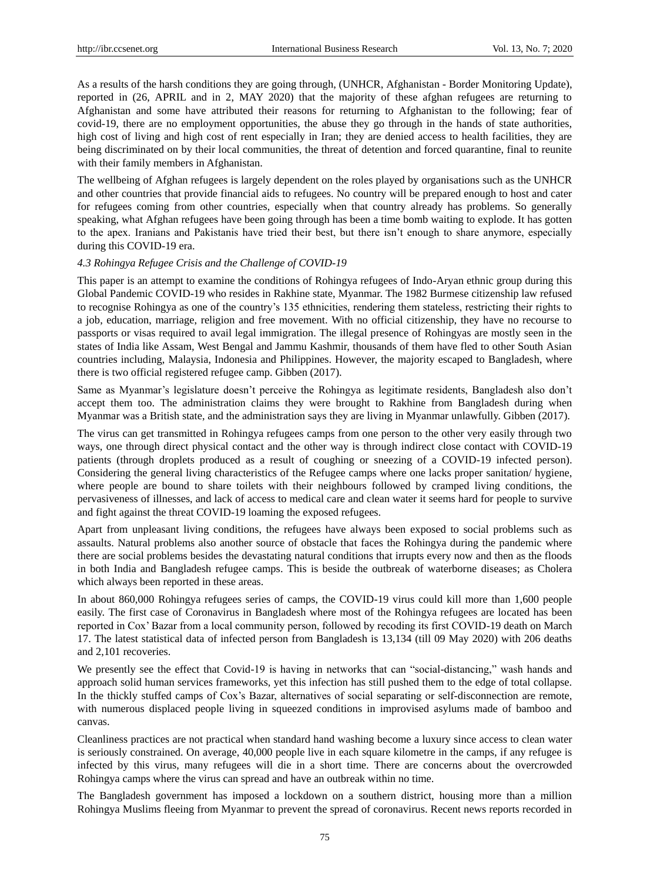As a results of the harsh conditions they are going through, (UNHCR, Afghanistan - Border Monitoring Update), reported in (26, APRIL and in 2, MAY 2020) that the majority of these afghan refugees are returning to Afghanistan and some have attributed their reasons for returning to Afghanistan to the following; fear of covid-19, there are no employment opportunities, the abuse they go through in the hands of state authorities, high cost of living and high cost of rent especially in Iran; they are denied access to health facilities, they are being discriminated on by their local communities, the threat of detention and forced quarantine, final to reunite with their family members in Afghanistan.

The wellbeing of Afghan refugees is largely dependent on the roles played by organisations such as the UNHCR and other countries that provide financial aids to refugees. No country will be prepared enough to host and cater for refugees coming from other countries, especially when that country already has problems. So generally speaking, what Afghan refugees have been going through has been a time bomb waiting to explode. It has gotten to the apex. Iranians and Pakistanis have tried their best, but there isn't enough to share anymore, especially during this COVID-19 era.

#### *4.3 Rohingya Refugee Crisis and the Challenge of COVID-19*

This paper is an attempt to examine the conditions of Rohingya refugees of Indo-Aryan ethnic group during this Global Pandemic COVID-19 who resides in Rakhine state, Myanmar. The 1982 Burmese citizenship law refused to recognise Rohingya as one of the country"s 135 ethnicities, rendering them stateless, restricting their rights to a job, education, marriage, religion and free movement. With no official citizenship, they have no recourse to passports or visas required to avail legal immigration. The illegal presence of Rohingyas are mostly seen in the states of India like Assam, West Bengal and Jammu Kashmir, thousands of them have fled to other South Asian countries including, Malaysia, Indonesia and Philippines. However, the majority escaped to Bangladesh, where there is two official registered refugee camp. Gibben (2017).

Same as Myanmar's legislature doesn't perceive the Rohingya as legitimate residents, Bangladesh also don't accept them too. The administration claims they were brought to Rakhine from Bangladesh during when Myanmar was a British state, and the administration says they are living in Myanmar unlawfully. Gibben (2017).

The virus can get transmitted in Rohingya refugees camps from one person to the other very easily through two ways, one through direct physical contact and the other way is through indirect close contact with COVID-19 patients (through droplets produced as a result of coughing or sneezing of a COVID-19 infected person). Considering the general living characteristics of the Refugee camps where one lacks proper sanitation/ hygiene, where people are bound to share toilets with their neighbours followed by cramped living conditions, the pervasiveness of illnesses, and lack of access to medical care and clean water it seems hard for people to survive and fight against the threat COVID-19 loaming the exposed refugees.

Apart from unpleasant living conditions, the refugees have always been exposed to social problems such as assaults. Natural problems also another source of obstacle that faces the Rohingya during the pandemic where there are social problems besides the devastating natural conditions that irrupts every now and then as the floods in both India and Bangladesh refugee camps. This is beside the outbreak of waterborne diseases; as Cholera which always been reported in these areas.

In about 860,000 Rohingya refugees series of camps, the COVID-19 virus could kill more than 1,600 people easily. The first case of Coronavirus in Bangladesh where most of the Rohingya refugees are located has been reported in Cox" Bazar from a local community person, followed by recoding its first COVID-19 death on March 17. The latest statistical data of infected person from Bangladesh is 13,134 (till 09 May 2020) with 206 deaths and 2,101 recoveries.

We presently see the effect that Covid-19 is having in networks that can "social-distancing," wash hands and approach solid human services frameworks, yet this infection has still pushed them to the edge of total collapse. In the thickly stuffed camps of Cox"s Bazar, alternatives of social separating or self-disconnection are remote, with numerous displaced people living in squeezed conditions in improvised asylums made of bamboo and canvas.

Cleanliness practices are not practical when standard hand washing become a luxury since access to clean water is seriously constrained. On average, 40,000 people live in each square kilometre in the camps, if any refugee is infected by this virus, many refugees will die in a short time. There are concerns about the overcrowded Rohingya camps where the virus can spread and have an outbreak within no time.

The Bangladesh government has imposed a lockdown on a southern district, housing more than a million Rohingya Muslims fleeing from Myanmar to prevent the spread of coronavirus. Recent news reports recorded in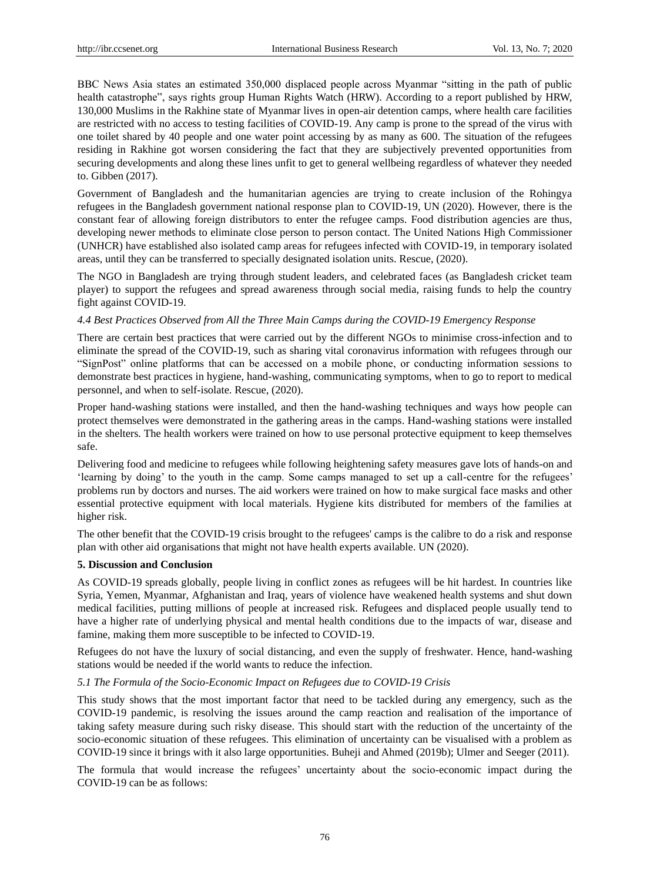BBC News Asia states an estimated 350,000 displaced people across Myanmar "sitting in the path of public health catastrophe", says rights group Human Rights Watch (HRW). According to a report published by HRW, 130,000 Muslims in the Rakhine state of Myanmar lives in open-air detention camps, where health care facilities are restricted with no access to testing facilities of COVID-19. Any camp is prone to the spread of the virus with one toilet shared by 40 people and one water point accessing by as many as 600. The situation of the refugees residing in Rakhine got worsen considering the fact that they are subjectively prevented opportunities from securing developments and along these lines unfit to get to general wellbeing regardless of whatever they needed to. Gibben (2017).

Government of Bangladesh and the humanitarian agencies are trying to create inclusion of the Rohingya refugees in the Bangladesh government national response plan to COVID-19, UN (2020). However, there is the constant fear of allowing foreign distributors to enter the refugee camps. Food distribution agencies are thus, developing newer methods to eliminate close person to person contact. The United Nations High Commissioner (UNHCR) have established also isolated camp areas for refugees infected with COVID-19, in temporary isolated areas, until they can be transferred to specially designated isolation units. Rescue, (2020).

The NGO in Bangladesh are trying through student leaders, and celebrated faces (as Bangladesh cricket team player) to support the refugees and spread awareness through social media, raising funds to help the country fight against COVID-19.

#### *4.4 Best Practices Observed from All the Three Main Camps during the COVID-19 Emergency Response*

There are certain best practices that were carried out by the different NGOs to minimise cross-infection and to eliminate the spread of the COVID-19, such as sharing vital coronavirus information with refugees through our "SignPost" online platforms that can be accessed on a mobile phone, or conducting information sessions to demonstrate best practices in hygiene, hand-washing, communicating symptoms, when to go to report to medical personnel, and when to self-isolate. Rescue, (2020).

Proper hand-washing stations were installed, and then the hand-washing techniques and ways how people can protect themselves were demonstrated in the gathering areas in the camps. Hand-washing stations were installed in the shelters. The health workers were trained on how to use personal protective equipment to keep themselves safe.

Delivering food and medicine to refugees while following heightening safety measures gave lots of hands-on and "learning by doing" to the youth in the camp. Some camps managed to set up a call-centre for the refugees" problems run by doctors and nurses. The aid workers were trained on how to make surgical face masks and other essential protective equipment with local materials. Hygiene kits distributed for members of the families at higher risk.

The other benefit that the COVID-19 crisis brought to the refugees' camps is the calibre to do a risk and response plan with other aid organisations that might not have health experts available. UN (2020).

#### **5. Discussion and Conclusion**

As COVID-19 spreads globally, people [living in conflict zones](https://www.rescue.org/article/how-irc-responds-covid-19-syria-and-other-conflict-zones) as refugees will be hit hardest. In countries like [Syria,](https://www.rescue.org/country/syria) [Yemen,](https://www.rescue.org/country/yemen) Myanmar, [Afghanistan](https://www.rescue.org/country/afghanistan) and [Iraq,](https://www.rescue.org/country/iraq) years of violence have weakened health systems and shut down medical facilities, putting millions of people at increased risk. Refugees and displaced people usually tend to have a higher rate of underlying physical and mental health conditions due to the impacts of war, disease and famine, making them more susceptible to be infected to COVID-19.

Refugees do not have the luxury of social distancing, and even the supply of freshwater. Hence, hand-washing stations would be needed if the world wants to reduce the infection.

#### *5.1 The Formula of the Socio-Economic Impact on Refugees due to COVID-19 Crisis*

This study shows that the most important factor that need to be tackled during any emergency, such as the COVID-19 pandemic, is resolving the issues around the camp reaction and realisation of the importance of taking safety measure during such risky disease. This should start with the reduction of the uncertainty of the socio-economic situation of these refugees. This elimination of uncertainty can be visualised with a problem as COVID-19 since it brings with it also large opportunities. Buheji and Ahmed (2019b); Ulmer and Seeger (2011).

The formula that would increase the refugees" uncertainty about the socio-economic impact during the COVID-19 can be as follows: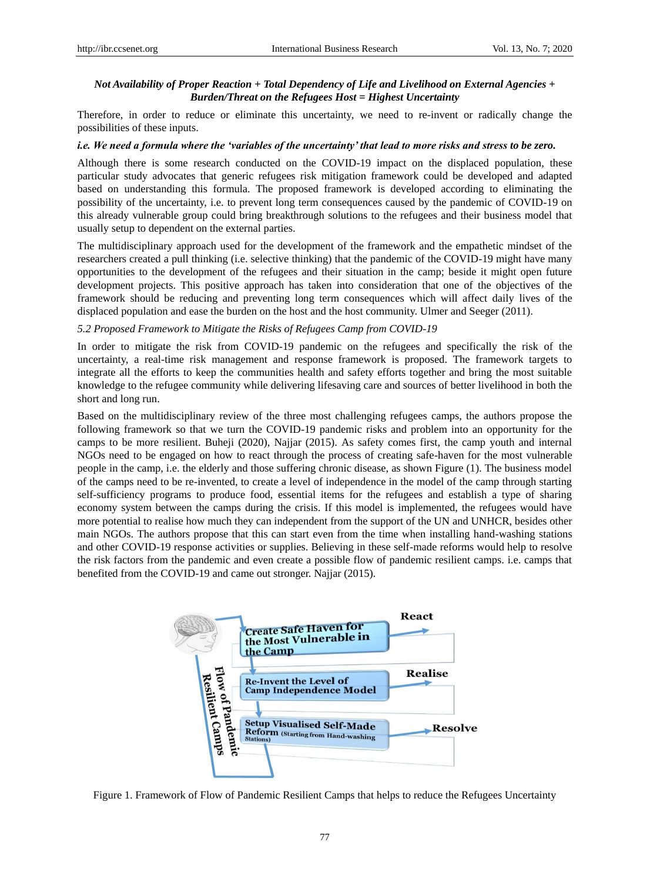## *Not Availability of Proper Reaction + Total Dependency of Life and Livelihood on External Agencies + Burden/Threat on the Refugees Host = Highest Uncertainty*

Therefore, in order to reduce or eliminate this uncertainty, we need to re-invent or radically change the possibilities of these inputs.

#### *i.e. We need a formula where the 'variables of the uncertainty' that lead to more risks and stress to be zero.*

Although there is some research conducted on the COVID-19 impact on the displaced population, these particular study advocates that generic refugees risk mitigation framework could be developed and adapted based on understanding this formula. The proposed framework is developed according to eliminating the possibility of the uncertainty, i.e. to prevent long term consequences caused by the pandemic of COVID-19 on this already vulnerable group could bring breakthrough solutions to the refugees and their business model that usually setup to dependent on the external parties.

The multidisciplinary approach used for the development of the framework and the empathetic mindset of the researchers created a pull thinking (i.e. selective thinking) that the pandemic of the COVID-19 might have many opportunities to the development of the refugees and their situation in the camp; beside it might open future development projects. This positive approach has taken into consideration that one of the objectives of the framework should be reducing and preventing long term consequences which will affect daily lives of the displaced population and ease the burden on the host and the host community. Ulmer and Seeger (2011).

#### *[5.2 Proposed Framework to Mitigate the Risks of Refugees Camp from COVID-19](https://www.rescue.org/video/how-protect-people-refugee-camp-covid-19)*

In order to mitigate the risk from COVID-19 pandemic on the refugees and specifically the risk of the uncertainty, a real-time risk management and response framework is proposed. The framework targets to integrate all the efforts to keep the communities health and safety efforts together and bring the most suitable knowledge to the refugee community while delivering lifesaving care and sources of better livelihood in both the short and long run.

Based on the multidisciplinary review of the three most challenging refugees camps, the authors propose the following framework so that we turn the COVID-19 pandemic risks and problem into an opportunity for the camps to be more resilient. Buheji (2020), Najjar (2015). As safety comes first, the camp youth and internal NGOs need to be engaged on how to react through the process of creating safe-haven for the most vulnerable people in the camp, i.e. the elderly and those suffering chronic disease, as shown Figure (1). The business model of the camps need to be re-invented, to create a level of independence in the model of the camp through starting self-sufficiency programs to produce food, essential items for the refugees and establish a type of sharing economy system between the camps during the crisis. If this model is implemented, the refugees would have more potential to realise how much they can independent from the support of the UN and UNHCR, besides other main NGOs. The authors propose that this can start even from the time when installing hand-washing stations and other COVID-19 response activities or supplies. Believing in these self-made reforms would help to resolve the risk factors from the pandemic and even create a possible flow of pandemic resilient camps. i.e. camps that benefited from the COVID-19 and came out stronger. Najjar (2015).



Figure 1. Framework of Flow of Pandemic Resilient Camps that helps to reduce the Refugees Uncertainty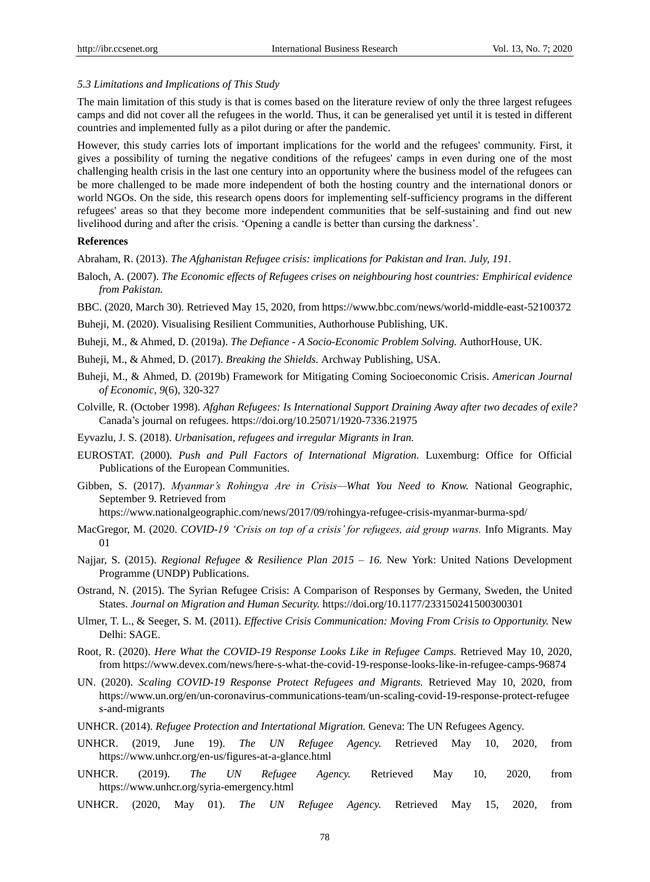*5.3 Limitations and Implications of This Study*

The main limitation of this study is that is comes based on the literature review of only the three largest refugees camps and did not cover all the refugees in the world. Thus, it can be generalised yet until it is tested in different countries and implemented fully as a pilot during or after the pandemic.

However, this study carries lots of important implications for the world and the refugees' community. First, it gives a possibility of turning the negative conditions of the refugees' camps in even during one of the most challenging health crisis in the last one century into an opportunity where the business model of the refugees can be more challenged to be made more independent of both the hosting country and the international donors or world NGOs. On the side, this research opens doors for implementing self-sufficiency programs in the different refugees' areas so that they become more independent communities that be self-sustaining and find out new livelihood during and after the crisis. 'Opening a candle is better than cursing the darkness'.

## **References**

Abraham, R. (2013). *The Afghanistan Refugee crisis: implications for Pakistan and Iran. July, 191.*

Baloch, A. (2007). *The Economic effects of Refugees crises on neighbouring host countries: Emphirical evidence from Pakistan.*

BBC. (2020, March 30). Retrieved May 15, 2020, from https://www.bbc.com/news/world-middle-east-52100372

Buheji, M. (2020). Visualising Resilient Communities, Authorhouse Publishing, UK.

Buheji, M., & Ahmed, D. (2019a). *The Defiance - A Socio-Economic Problem Solving.* AuthorHouse, UK.

- Buheji, M., & Ahmed, D. (2017). *Breaking the Shields.* Archway Publishing, USA.
- Buheji, M., & Ahmed, D. (2019b) Framework for Mitigating Coming Socioeconomic Crisis. *American Journal of Economic, 9*(6), 320-327
- Colville, R. (October 1998). *Afghan Refugees: Is International Support Draining Away after two decades of exile?*  Canada"s journal on refugees. https://doi.org/10.25071/1920-7336.21975
- Eyvazlu, J. S. (2018). *Urbanisation, refugees and irregular Migrants in Iran.*
- EUROSTAT. (2000). *Push and Pull Factors of International Migration.* Luxemburg: Office for Official Publications of the European Communities.
- Gibben, S. (2017). *Myanmar's Rohingya Are in Crisis—What You Need to Know.* National Geographic, September 9. Retrieved from

<https://www.nationalgeographic.com/news/2017/09/rohingya-refugee-crisis-myanmar-burma-spd/>

- MacGregor, M. (2020. *COVID-19 'Crisis on top of a crisis' for refugees, aid group warns.* Info Migrants. May 01
- Najjar, S. (2015). *Regional Refugee & Resilience Plan 2015 – 16.* New York: United Nations Development Programme (UNDP) Publications.
- Ostrand, N. (2015). The Syrian Refugee Crisis: A Comparison of Responses by Germany, Sweden, the United States. *Journal on Migration and Human Security.* https://doi.org/10.1177/233150241500300301
- Ulmer, T. L., & Seeger, S. M. (2011). *Effective Crisis Communication: Moving From Crisis to Opportunity*. New Delhi: SAGE.
- Root, R. (2020). *Here What the COVID-19 Response Looks Like in Refugee Camps.* Retrieved May 10, 2020, from https://www.devex.com/news/here-s-what-the-covid-19-response-looks-like-in-refugee-camps-96874
- UN. (2020). *Scaling COVID-19 Response Protect Refugees and Migrants.* Retrieved May 10, 2020, from https://www.un.org/en/un-coronavirus-communications-team/un-scaling-covid-19-response-protect-refugee s-and-migrants
- UNHCR. (2014). *Refugee Protection and Intertational Migration.* Geneva: The UN Refugees Agency.
- UNHCR. (2019, June 19). *The UN Refugee Agency.* Retrieved May 10, 2020, from https://www.unhcr.org/en-us/figures-at-a-glance.html
- UNHCR. (2019). *The UN Refugee Agency.* Retrieved May 10, 2020, from https://www.unhcr.org/syria-emergency.html
- UNHCR. (2020, May 01). *The UN Refugee Agency.* Retrieved May 15, 2020, from